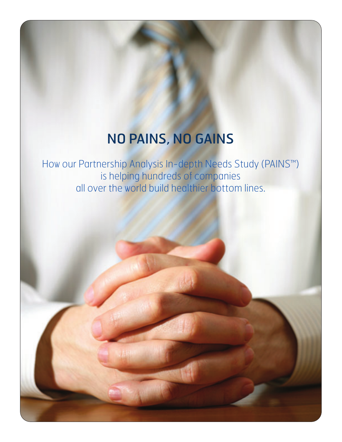## NO PAINS, NO GAINS

How our Partnership Analysis In-depth Needs Study (PAINS™) is helping hundreds of companies all over the world build healthier bottom lines.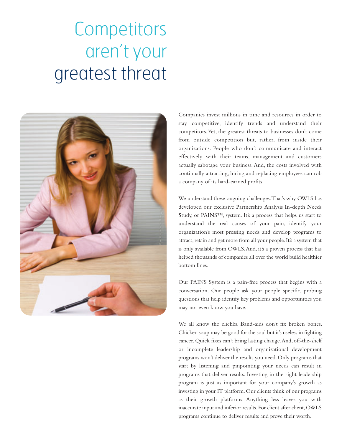## **Competitors** aren't your greatest threat



Companies invest millions in time and resources in order to stay competitive, identify trends and understand their competitors. Yet, the greatest threats to businesses don't come from outside competition but, rather, from inside their organizations. People who don't communicate and interact effectively with their teams, management and customers actually sabotage your business. And, the costs involved with continually attracting, hiring and replacing employees can rob a company of its hard-earned profits.

We understand these ongoing challenges. That's why OWLS has developed our exclusive **P**artnership **A**nalysis **I**n-depth **N**eeds **S**tudy, or PAINS™, system. It's a process that helps us start to understand the real causes of your pain, identify your organization's most pressing needs and develop programs to attract, retain and get more from all your people. It's a system that is only available from OWLS. And, it's a proven process that has helped thousands of companies all over the world build healthier bottom lines.

Our PAINS System is a pain-free process that begins with a conversation. Our people ask your people specific, probing questions that help identify key problems and opportunities you may not even know you have.

We all know the clichés. Band-aids don't fix broken bones. Chicken soup may be good for the soul but it's useless in fighting cancer. Quick fixes can't bring lasting change. And, off-the-shelf or incomplete leadership and organizational development programs won't deliver the results you need. Only programs that start by listening and pinpointing your needs can result in programs that deliver results. Investing in the right leadership program is just as important for your company's growth as investing in your IT platform. Our clients think of our programs as their growth platforms. Anything less leaves you with inaccurate input and inferior results. For client after client, OWLS programs continue to deliver results and prove their worth.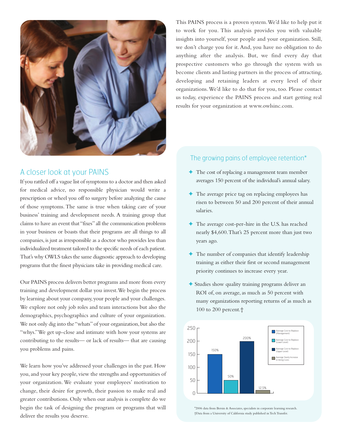

## A closer look at your PAINS

If you rattled off a vague list of symptoms to a doctor and then asked for medical advice, no responsible physician would write a prescription or wheel you off to surgery before analyzing the cause of those symptoms. The same is true when taking care of your business' training and development needs. A training group that claims to have an event that "fixes" all the communication problems in your business or boasts that their programs are all things to all companies, is just as irresponsible as a doctor who provides less than individualized treatment tailored to the specific needs of each patient. That's why OWLS takes the same diagnostic approach to developing programs that the finest physicians take in providing medical care.

Our PAINS process delivers better programs and more from every training and development dollar you invest. We begin the process by learning about your company, your people and your challenges. We explore not only job roles and team interactions but also the demographics, psychographics and culture of your organization. We not only dig into the "whats" of your organization, but also the "whys." We get up-close and intimate with how your systems are contributing to the results— or lack of results— that are causing you problems and pains.

We learn how you've addressed your challenges in the past. How you, and your key people, view the strengths and opportunities of your organization. We evaluate your employees' motivation to change, their desire for growth, their passion to make real and greater contributions. Only when our analysis is complete do we begin the task of designing the program or programs that will deliver the results you deserve.

This PAINS process is a proven system. We'd like to help put it to work for you. This analysis provides you with valuable insights into yourself, your people and your organization. Still, we don't charge you for it. And, you have no obligation to do anything after the analysis. But, we find every day that prospective customers who go through the system with us become clients and lasting partners in the process of attracting, developing and retaining leaders at every level of their organizations. We'd like to do that for you, too. Please contact us today, experience the PAINS process and start getting real results for your organization at www.owlsinc.com.

## The growing pains of employee retention\*

- ✦ The cost of replacing a management team member averages 150 percent of the individual's annual salary.
- ✦ The average price tag on replacing employees has risen to between 50 and 200 percent of their annual salaries.
- ✦ The average cost-per-hire in the U.S. has reached nearly \$4,600. That's 25 percent more than just two years ago.
- ✦ The number of companies that identify leadership training as either their first or second management priority continues to increase every year.
- ✦ Studies show quality training programs deliver an ROI of, on average, as much as 50 percent with many organizations reporting returns of as much as 100 to 200 percent.†



\*2006 data from Bersin & Associates, specialists in corporate learning research. †Data from a University of California study published in Tech Transfer.